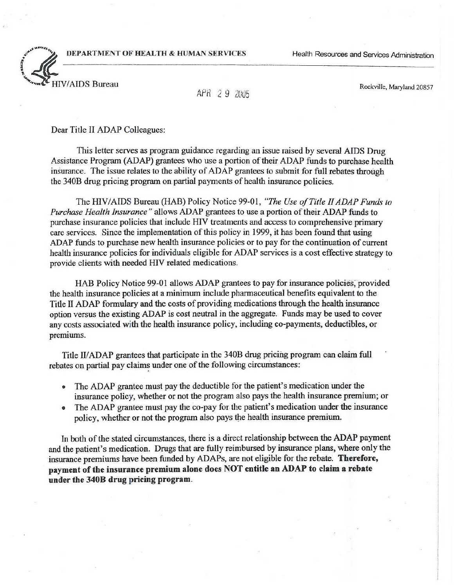DEPARTMENT OF HEALTH & HUMAN SERVICES Health Resources and Services Administration



## APH 2 9 2U05

Rockville, Maryland 20857

Dear Title II ADAP Colleagues:

This letter serves as program guidance regarding an issue raised by several AIDS Drug Assistance Program (ADAP) grantees who use a portion of their ADAP funds to purchase health insurance. The issue relates to the ability of ADAP grantees *to* submit for full rebates through the 340B drug pricing program on partial payments of health insurance policies.

The HIV *I*AIDS Bureau (HAB) Policy Notice 99-01, *"The Use ofTitle IIADAP Funds to Purchase Health Insurance*" allows ADAP grantees to use a portion of their ADAP funds to purchase insurance policies that include HIV treatments and access to comprehensive primary care services. Since the implementation of this policy in 1999, it has been found that using ADAP funds to purchase new health insurance policies or to pay for the continuation of current health insurance policies for individuals eligible for ADAP services is a cost effective strategy to provide clients with needed HIV related medications.

HAB Policy Notice 99-01 allows ADAP grantees to pay for insurance policies; provided the health insurance policies at a minimum include pharmaceutical benefits equivalent to the Title II ADAP formulary and the costs of providing medications through the health insurance option versus the existing ADAP is cost neutral in the aggregate. Funds may be used to cover any costs associated with the health insurance policy, including co-payments, deductibles, or premiums.

Title II/ ADAP grantees that participate in the 340B drug pricing program can claim full rebates on partial pay claims under one of the following circumstances:

- The ADAP grantee must pay the deductible for the patient's medication under the insurance policy, whether or not the program also pays the health insurance premium; or
- The ADAP grantee must pay the co-pay for the patient's medication under the insurance policy, whether or not the program also pays the health insurance premium.

In both of the stated circumstances, there is a direct relationship between the ADAP payment and the patient's medication. Drugs that are fully reimbursed by insurance plans, where only the insurance premiums have been funded by ADAPs, are not eligible for the rebate. Therefore, payment of the insurance premium alone does NOT entitle an ADAP to claim a rebate under the 3408 drug pricing program.